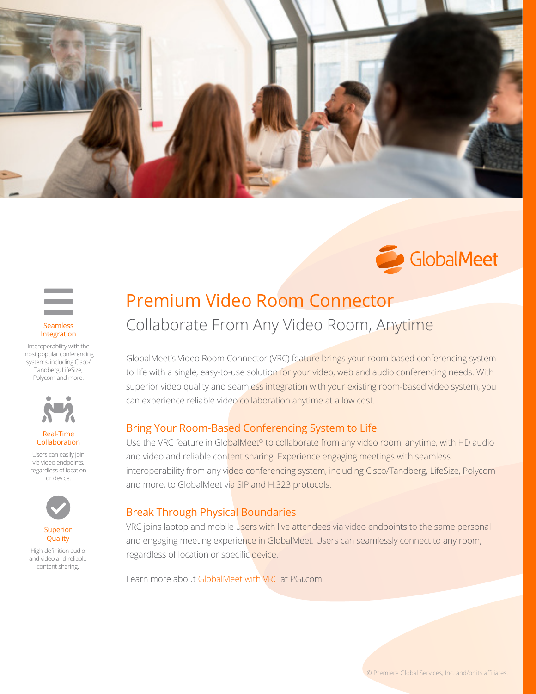





Interoperability with the most popular conferencing systems, including Cisco/ Tandberg, LifeSize, Polycom and more.



#### Real-Time Collaboration

Users can easily join via video endpoints, regardless of location or device.



Superior **Quality** 

High-definition audio and video and reliable content sharing.

# Collaborate From Any Video Room, Anytime Premium Video Room Connector

GlobalMeet's Video Room Connector (VRC) feature brings your room-based conferencing system to life with a single, easy-to-use solution for your video, web and audio conferencing needs. With superior video quality and seamless integration with your existing room-based video system, you can experience reliable video collaboration anytime at a low cost.

#### Bring Your Room-Based Conferencing System to Life

Use the VRC feature in GlobalMeet<sup>®</sup> to collaborate from any video room, anytime, with HD audio and video and reliable content sharing. Experience engaging meetings with seamless interoperability from any video conferencing system, including Cisco/Tandberg, LifeSize, Polycom and more, to GlobalMeet via SIP and H.323 protocols.

#### Break Through Physical Boundaries

VRC joins laptop and mobile users with live attendees via video endpoints to the same personal and engaging meeting experience in GlobalMeet. Users can seamlessly connect to any room, regardless of location or specific device.

Learn more about [GlobalMeet with V](https://www.pgi.com/imeet-video-room-connector/)RC at PGi.com[.](http://www.pgi.com/contact )